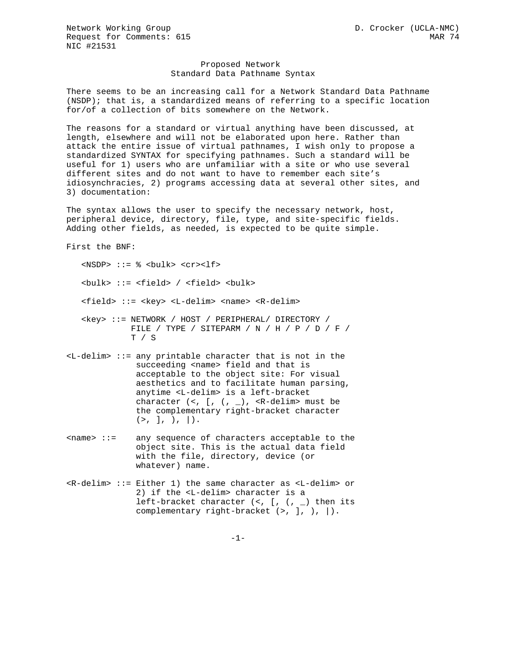Network Working Group  $D.$  Crocker (UCLA-NMC) Request for Comments: 615 MAR 74 NIC #21531

## Proposed Network Standard Data Pathname Syntax

There seems to be an increasing call for a Network Standard Data Pathname (NSDP); that is, a standardized means of referring to a specific location for/of a collection of bits somewhere on the Network.

The reasons for a standard or virtual anything have been discussed, at length, elsewhere and will not be elaborated upon here. Rather than attack the entire issue of virtual pathnames, I wish only to propose a standardized SYNTAX for specifying pathnames. Such a standard will be useful for 1) users who are unfamiliar with a site or who use several different sites and do not want to have to remember each site's idiosynchracies, 2) programs accessing data at several other sites, and 3) documentation:

The syntax allows the user to specify the necessary network, host, peripheral device, directory, file, type, and site-specific fields. Adding other fields, as needed, is expected to be quite simple.

First the BNF:

 $<sub>NSDP> ::= % **bulk> f**</sub>$ </sub> <bulk> ::= <field> / <field> <bulk> <field> ::= <key> <L-delim> <name> <R-delim>  $<\!\!key\!\!>>\;:=\; \texttt{NETWORK}\; \;/\; \texttt{HOST}\; \;/\; \texttt{PERIPHERAL}/\; \texttt{DIRECTORY}\; \;/\;$  FILE / TYPE / SITEPARM / N / H / P / D / F / T / S

- $\text{L}-\text{delim}>$  ::= any printable character that is not in the succeeding <name> field and that is acceptable to the object site: For visual aesthetics and to facilitate human parsing, anytime <L-delim> is a left-bracket character  $(<, [ , ( , _{\_}) ,  $R$ -delim> must be$  the complementary right-bracket character  $(>, 1, ), ($ )
- <name> ::= any sequence of characters acceptable to the object site. This is the actual data field with the file, directory, device (or whatever) name.
- <R-delim> ::= Either 1) the same character as <L-delim> or 2) if the <L-delim> character is a left-bracket character  $(<, [ , ( , _] )$  then its complementary right-bracket  $(>, ], , |$ .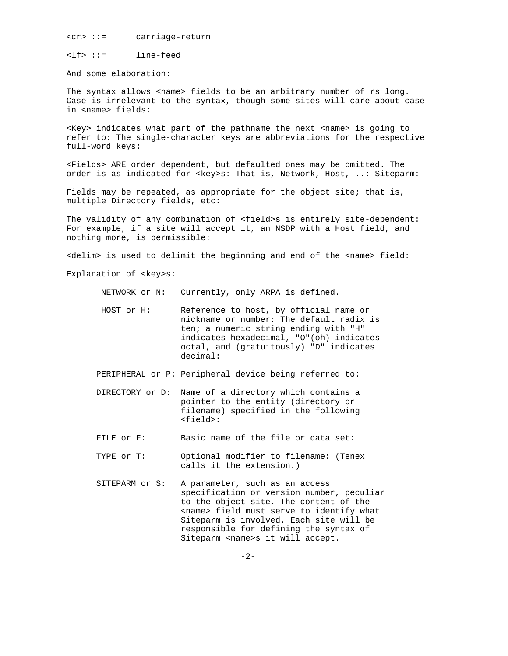<cr> ::= carriage-return

<lf> ::= line-feed

And some elaboration:

The syntax allows <name> fields to be an arbitrary number of rs long. Case is irrelevant to the syntax, though some sites will care about case in <name> fields:

<Key> indicates what part of the pathname the next <name> is going to refer to: The single-character keys are abbreviations for the respective full-word keys:

<Fields> ARE order dependent, but defaulted ones may be omitted. The order is as indicated for <key>s: That is, Network, Host, ..: Siteparm:

Fields may be repeated, as appropriate for the object site; that is, multiple Directory fields, etc:

The validity of any combination of <field>s is entirely site-dependent: For example, if a site will accept it, an NSDP with a Host field, and nothing more, is permissible:

<delim> is used to delimit the beginning and end of the <name> field:

Explanation of <key>s:

NETWORK or N: Currently, only ARPA is defined.

 HOST or H: Reference to host, by official name or nickname or number: The default radix is ten; a numeric string ending with "H" indicates hexadecimal, "O"(oh) indicates octal, and (gratuitously) "D" indicates decimal:

PERIPHERAL or P: Peripheral device being referred to:

- DIRECTORY or D: Name of a directory which contains a pointer to the entity (directory or filename) specified in the following <field>:
- FILE or F: Basic name of the file or data set:
- TYPE or T: Optional modifier to filename: (Tenex calls it the extension.)
- SITEPARM or S: A parameter, such as an access specification or version number, peculiar to the object site. The content of the <name> field must serve to identify what Siteparm is involved. Each site will be responsible for defining the syntax of Siteparm <name>s it will accept.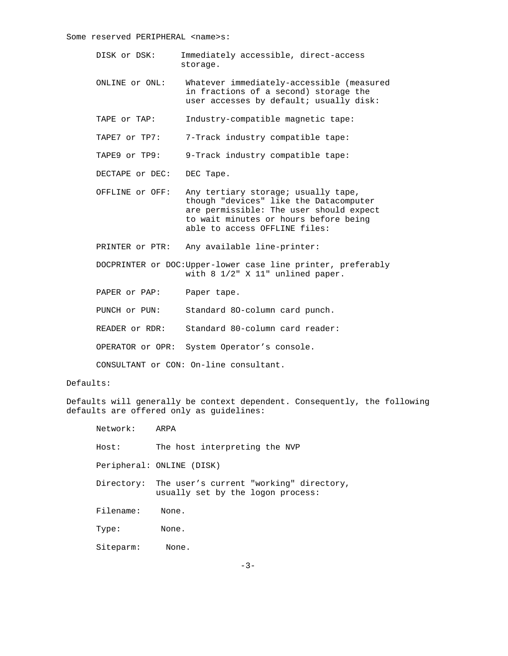Some reserved PERIPHERAL <name>s:

- DISK or DSK: Immediately accessible, direct-access storage.
- ONLINE or ONL: Whatever immediately-accessible (measured in fractions of a second) storage the user accesses by default; usually disk:
- TAPE or TAP: Industry-compatible magnetic tape:
- TAPE7 or TP7: 7-Track industry compatible tape:
- TAPE9 or TP9: 9-Track industry compatible tape:
- DECTAPE or DEC: DEC Tape.
- OFFLINE or OFF: Any tertiary storage; usually tape, though "devices" like the Datacomputer are permissible: The user should expect to wait minutes or hours before being able to access OFFLINE files:
- PRINTER or PTR: Any available line-printer:
- DOCPRINTER or DOC:Upper-lower case line printer, preferably with 8 1/2" X 11" unlined paper.
- PAPER or PAP: Paper tape.
- PUNCH or PUN: Standard 8O-column card punch.
- READER or RDR: Standard 80-column card reader:
- OPERATOR or OPR: System Operator's console.

CONSULTANT or CON: On-line consultant.

## Defaults:

Defaults will generally be context dependent. Consequently, the following defaults are offered only as guidelines:

| Network:  | ARPA                                                                                    |
|-----------|-----------------------------------------------------------------------------------------|
| Host:     | The host interpreting the NVP                                                           |
|           | Peripheral: ONLINE (DISK)                                                               |
|           | Directory: The user's current "working" directory,<br>usually set by the logon process: |
| Filename: | None.                                                                                   |
| Type:     | None.                                                                                   |
| Siteparm: | None.                                                                                   |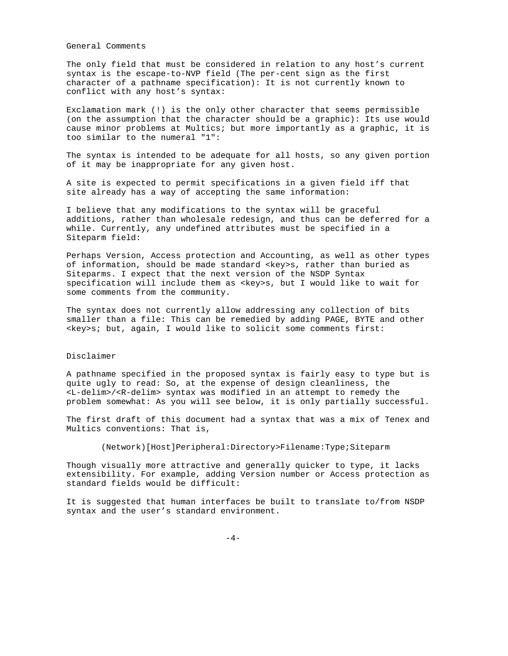General Comments

The only field that must be considered in relation to any host's current syntax is the escape-to-NVP field (The per-cent sign as the first character of a pathname specification): It is not currently known to conflict with any host's syntax:

Exclamation mark (!) is the only other character that seems permissible (on the assumption that the character should be a graphic): Its use would cause minor problems at Multics; but more importantly as a graphic, it is too similar to the numeral "1":

The syntax is intended to be adequate for all hosts, so any given portion of it may be inappropriate for any given host.

A site is expected to permit specifications in a given field iff that site already has a way of accepting the same information:

I believe that any modifications to the syntax will be graceful additions, rather than wholesale redesign, and thus can be deferred for a while. Currently, any undefined attributes must be specified in a Siteparm field:

Perhaps Version, Access protection and Accounting, as well as other types of information, should be made standard <key>s, rather than buried as Siteparms. I expect that the next version of the NSDP Syntax specification will include them as <key>s, but I would like to wait for some comments from the community.

The syntax does not currently allow addressing any collection of bits smaller than a file: This can be remedied by adding PAGE, BYTE and other  $\langle key \rangle$ s; but, again, I would like to solicit some comments first:

## Disclaimer

A pathname specified in the proposed syntax is fairly easy to type but is quite ugly to read: So, at the expense of design cleanliness, the <L-delim>/<R-delim> syntax was modified in an attempt to remedy the problem somewhat: As you will see below, it is only partially successful.

The first draft of this document had a syntax that was a mix of Tenex and Multics conventions: That is,

(Network)[Host]Peripheral:Directory>Filename:Type;Siteparm

Though visually more attractive and generally quicker to type, it lacks extensibility. For example, adding Version number or Access protection as standard fields would be difficult:

It is suggested that human interfaces be built to translate to/from NSDP syntax and the user's standard environment.